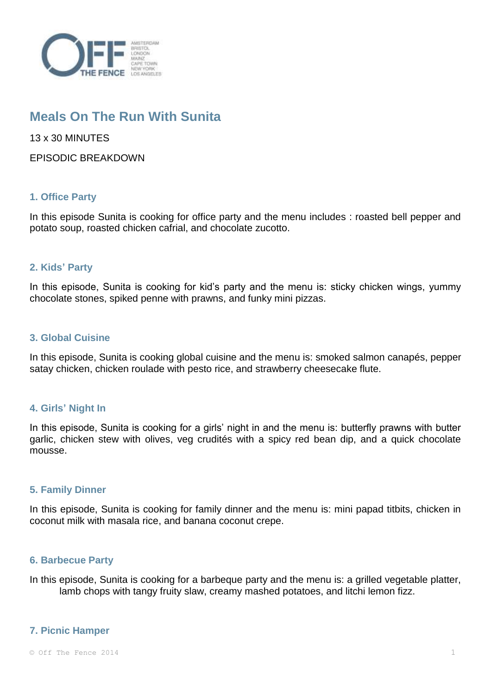

# **Meals On The Run With Sunita**

13 x 30 MINUTES

EPISODIC BREAKDOWN

# **1. Office Party**

In this episode Sunita is cooking for office party and the menu includes : roasted bell pepper and potato soup, roasted chicken cafrial, and chocolate zucotto.

## **2. Kids' Party**

In this episode, Sunita is cooking for kid's party and the menu is: sticky chicken wings, yummy chocolate stones, spiked penne with prawns, and funky mini pizzas.

## **3. Global Cuisine**

In this episode, Sunita is cooking global cuisine and the menu is: smoked salmon canapés, pepper satay chicken, chicken roulade with pesto rice, and strawberry cheesecake flute.

# **4. Girls' Night In**

In this episode, Sunita is cooking for a girls' night in and the menu is: butterfly prawns with butter garlic, chicken stew with olives, veg crudités with a spicy red bean dip, and a quick chocolate mousse.

# **5. Family Dinner**

In this episode, Sunita is cooking for family dinner and the menu is: mini papad titbits, chicken in coconut milk with masala rice, and banana coconut crepe.

## **6. Barbecue Party**

In this episode, Sunita is cooking for a barbeque party and the menu is: a grilled vegetable platter, lamb chops with tangy fruity slaw, creamy mashed potatoes, and litchi lemon fizz.

## **7. Picnic Hamper**